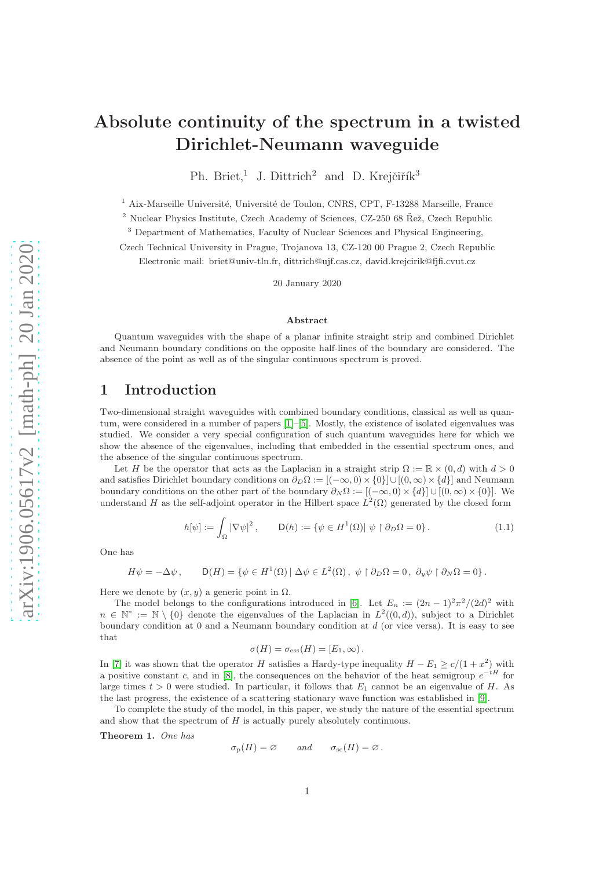# Absolute continuity of the spectrum in a twisted Dirichlet-Neumann waveguide

Ph. Briet,<sup>1</sup> J. Dittrich<sup>2</sup> and D. Krejčiřík<sup>3</sup>

<sup>1</sup> Aix-Marseille Université, Université de Toulon, CNRS, CPT, F-13288 Marseille, France

 $^2$  Nuclear Physics Institute, Czech Academy of Sciences, CZ-250 68  $\r{Re}$ ž, Czech Republic

<sup>3</sup> Department of Mathematics, Faculty of Nuclear Sciences and Physical Engineering,

Czech Technical University in Prague, Trojanova 13, CZ-120 00 Prague 2, Czech Republic

Electronic mail: briet@univ-tln.fr, dittrich@ujf.cas.cz, david.krejcirik@fjfi.cvut.cz

20 January 2020

#### Abstract

Quantum waveguides with the shape of a planar infinite straight strip and combined Dirichlet and Neumann boundary conditions on the opposite half-lines of the boundary are considered. The absence of the point as well as of the singular continuous spectrum is proved.

# 1 Introduction

Two-dimensional straight waveguides with combined boundary conditions, classical as well as quantum, were considered in a number of papers [\[1\]](#page-10-0)–[\[5\]](#page-10-1). Mostly, the existence of isolated eigenvalues was studied. We consider a very special configuration of such quantum waveguides here for which we show the absence of the eigenvalues, including that embedded in the essential spectrum ones, and the absence of the singular continuous spectrum.

Let H be the operator that acts as the Laplacian in a straight strip  $\Omega := \mathbb{R} \times (0, d)$  with  $d > 0$ and satisfies Dirichlet boundary conditions on  $\partial_D \Omega := [(-\infty, 0) \times \{0\}] \cup [(0, \infty) \times \{d\}]$  and Neumann boundary conditions on the other part of the boundary  $\partial_N \Omega := [(-\infty, 0) \times \{d\}] \cup [(0, \infty) \times \{0\}]$ . We understand H as the self-adjoint operator in the Hilbert space  $L^2(\Omega)$  generated by the closed form

<span id="page-0-1"></span>
$$
h[\psi] := \int_{\Omega} |\nabla \psi|^2, \qquad \mathsf{D}(h) := \{ \psi \in H^1(\Omega) | \psi \upharpoonright \partial_D \Omega = 0 \}.
$$
 (1.1)

One has

$$
H\psi = -\Delta\psi \,, \qquad \mathsf{D}(H) = \{ \psi \in H^1(\Omega) \mid \Delta\psi \in L^2(\Omega) \,, \, \psi \upharpoonright \partial_D \Omega = 0 \,, \, \partial_y \psi \upharpoonright \partial_N \Omega = 0 \} \,.
$$

Here we denote by  $(x, y)$  a generic point in  $\Omega$ .

The model belongs to the configurations introduced in [\[6\]](#page-10-2). Let  $E_n := (2n-1)^2 \pi^2/(2d)^2$  with  $n \in \mathbb{N}^* := \mathbb{N} \setminus \{0\}$  denote the eigenvalues of the Laplacian in  $L^2((0,d))$ , subject to a Dirichlet boundary condition at 0 and a Neumann boundary condition at d (or vice versa). It is easy to see that

$$
\sigma(H) = \sigma_{\rm ess}(H) = [E_1, \infty).
$$

In [\[7\]](#page-10-3) it was shown that the operator H satisfies a Hardy-type inequality  $H - E_1 \ge c/(1 + x^2)$  with a positive constant c, and in [\[8\]](#page-10-4), the consequences on the behavior of the heat semigroup  $e^{-tH}$  for large times  $t > 0$  were studied. In particular, it follows that  $E_1$  cannot be an eigenvalue of H. As the last progress, the existence of a scattering stationary wave function was established in [\[9\]](#page-10-5).

To complete the study of the model, in this paper, we study the nature of the essential spectrum and show that the spectrum of  $H$  is actually purely absolutely continuous.

<span id="page-0-0"></span>Theorem 1. One has

$$
\sigma_{\rm p}(H) = \varnothing \quad \text{and} \quad \sigma_{\rm sc}(H) = \varnothing.
$$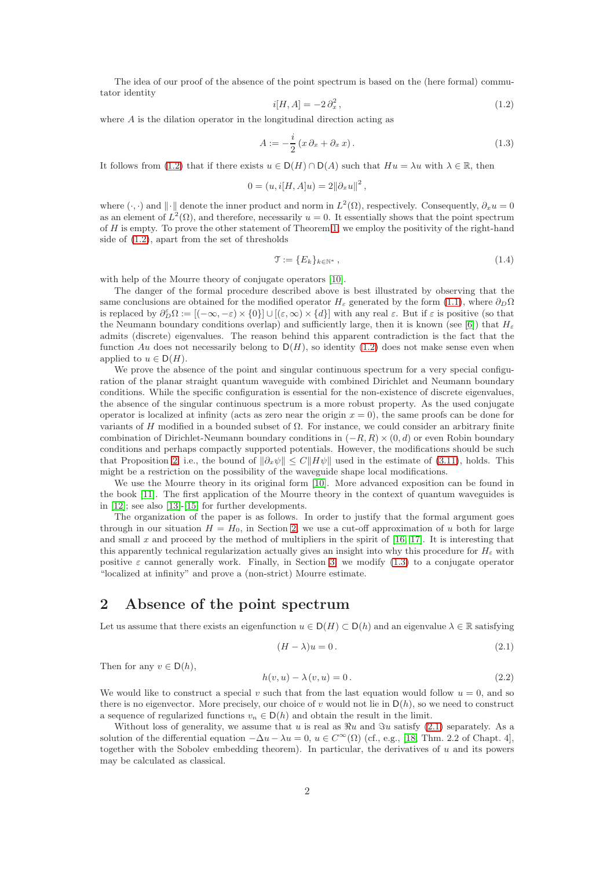The idea of our proof of the absence of the point spectrum is based on the (here formal) commutator identity

<span id="page-1-0"></span>
$$
i[H, A] = -2 \partial_x^2, \qquad (1.2)
$$

where  $A$  is the dilation operator in the longitudinal direction acting as

<span id="page-1-2"></span>
$$
A := -\frac{i}{2} \left( x \partial_x + \partial_x x \right). \tag{1.3}
$$

It follows from [\(1.2\)](#page-1-0) that if there exists  $u \in D(H) \cap D(A)$  such that  $Hu = \lambda u$  with  $\lambda \in \mathbb{R}$ , then

$$
0 = (u, i[H, A]u) = 2||\partial_x u||^2,
$$

where  $(\cdot, \cdot)$  and  $\|\cdot\|$  denote the inner product and norm in  $L^2(\Omega)$ , respectively. Consequently,  $\partial_x u = 0$ as an element of  $L^2(\Omega)$ , and therefore, necessarily  $u = 0$ . It essentially shows that the point spectrum of  $H$  is empty. To prove the other statement of Theorem [1,](#page-0-0) we employ the positivity of the right-hand side of [\(1.2\)](#page-1-0), apart from the set of thresholds

<span id="page-1-5"></span>
$$
\mathcal{T} := \{E_k\}_{k \in \mathbb{N}^*},\tag{1.4}
$$

with help of the Mourre theory of conjugate operators [\[10\]](#page-10-6).

The danger of the formal procedure described above is best illustrated by observing that the same conclusions are obtained for the modified operator  $H_{\varepsilon}$  generated by the form [\(1.1\)](#page-0-1), where  $\partial_D\Omega$ is replaced by  $\partial_D^{\varepsilon} \Omega := [(-\infty, -\varepsilon) \times \{0\}] \cup [(\varepsilon, \infty) \times \{d\}]$  with any real  $\varepsilon$ . But if  $\varepsilon$  is positive (so that the Neumann boundary conditions overlap) and sufficiently large, then it is known (see [\[6\]](#page-10-2)) that  $H_{\epsilon}$ admits (discrete) eigenvalues. The reason behind this apparent contradiction is the fact that the function Au does not necessarily belong to  $D(H)$ , so identity [\(1.2\)](#page-1-0) does not make sense even when applied to  $u \in D(H)$ .

We prove the absence of the point and singular continuous spectrum for a very special configuration of the planar straight quantum waveguide with combined Dirichlet and Neumann boundary conditions. While the specific configuration is essential for the non-existence of discrete eigenvalues, the absence of the singular continuous spectrum is a more robust property. As the used conjugate operator is localized at infinity (acts as zero near the origin  $x = 0$ ), the same proofs can be done for variants of H modified in a bounded subset of  $\Omega$ . For instance, we could consider an arbitrary finite combination of Dirichlet-Neumann boundary conditions in  $(-R, R) \times (0, d)$  or even Robin boundary conditions and perhaps compactly supported potentials. However, the modifications should be such that Proposition [2,](#page-4-0) i.e., the bound of  $\|\partial_x\psi\| \leq C\|H\psi\|$  used in the estimate of [\(3.11\)](#page-7-0), holds. This might be a restriction on the possibility of the waveguide shape local modifications.

We use the Mourre theory in its original form [\[10\]](#page-10-6). More advanced exposition can be found in the book [\[11\]](#page-10-7). The first application of the Mourre theory in the context of quantum waveguides is in [\[12\]](#page-10-8); see also [\[13\]](#page-10-9)-[\[15\]](#page-10-10) for further developments.

The organization of the paper is as follows. In order to justify that the formal argument goes through in our situation  $H = H_0$ , in Section [2,](#page-1-1) we use a cut-off approximation of u both for large and small x and proceed by the method of multipliers in the spirit of  $[16, 17]$  $[16, 17]$ . It is interesting that this apparently technical regularization actually gives an insight into why this procedure for  $H_{\varepsilon}$  with positive  $\varepsilon$  cannot generally work. Finally, in Section [3,](#page-3-0) we modify [\(1.3\)](#page-1-2) to a conjugate operator "localized at infinity" and prove a (non-strict) Mourre estimate.

# <span id="page-1-1"></span>2 Absence of the point spectrum

Let us assume that there exists an eigenfunction  $u \in D(H) \subset D(h)$  and an eigenvalue  $\lambda \in \mathbb{R}$  satisfying

<span id="page-1-3"></span>
$$
(H - \lambda)u = 0.
$$
\n<sup>(2.1)</sup>

Then for any  $v \in D(h)$ ,

<span id="page-1-4"></span>
$$
h(v, u) - \lambda(v, u) = 0.
$$
\n
$$
(2.2)
$$

We would like to construct a special v such that from the last equation would follow  $u = 0$ , and so there is no eigenvector. More precisely, our choice of v would not lie in  $D(h)$ , so we need to construct a sequence of regularized functions  $v_n \in D(h)$  and obtain the result in the limit.

Without loss of generality, we assume that u is real as  $\Re u$  and  $\Im u$  satisfy [\(2.1\)](#page-1-3) separately. As a solution of the differential equation  $-\Delta u - \lambda u = 0$ ,  $u \in C^{\infty}(\Omega)$  (cf., e.g., [\[18,](#page-10-13) Thm. 2.2 of Chapt. 4], together with the Sobolev embedding theorem). In particular, the derivatives of  $u$  and its powers may be calculated as classical.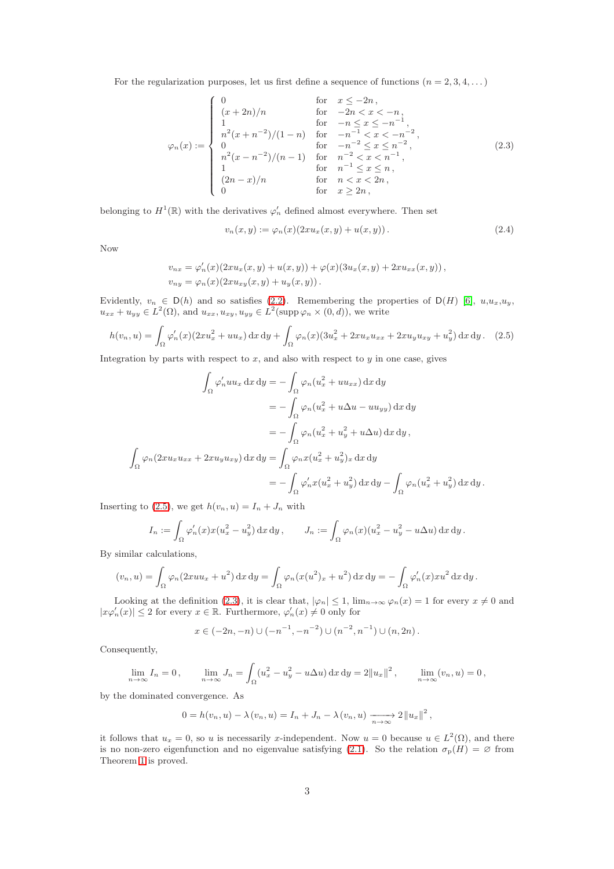For the regularization purposes, let us first define a sequence of functions  $(n = 2, 3, 4, ...)$ 

<span id="page-2-1"></span>
$$
\varphi_n(x) := \begin{cases}\n0 & \text{for } x \le -2n, \\
(x+2n)/n & \text{for } -2n < x < -n, \\
1 & \text{for } -n \le x \le -n^{-1}, \\
n^2(x+n^{-2})/(1-n) & \text{for } -n^{-1} < x < -n^{-2}, \\
0 & \text{for } -n^{-2} \le x \le n^{-2}, \\
n^2(x-n^{-2})/(n-1) & \text{for } n^{-2} < x < n^{-1}, \\
1 & \text{for } n^{-1} \le x \le n, \\
(2n-x)/n & \text{for } n < x < 2n, \\
0 & \text{for } x \ge 2n,\n\end{cases}
$$
\n(2.3)

belonging to  $H^1(\mathbb{R})$  with the derivatives  $\varphi'_n$  defined almost everywhere. Then set

$$
v_n(x, y) := \varphi_n(x) (2x u_x(x, y) + u(x, y)). \tag{2.4}
$$

Now

$$
v_{nx} = \varphi'_n(x)(2xu_x(x, y) + u(x, y)) + \varphi(x)(3u_x(x, y) + 2xu_{xx}(x, y)),
$$
  
\n
$$
v_{ny} = \varphi_n(x)(2xu_{xy}(x, y) + u_y(x, y)).
$$

Evidently,  $v_n \in D(h)$  and so satisfies [\(2.2\)](#page-1-4). Remembering the properties of  $D(H)$  [\[6\]](#page-10-2),  $u, u_x, u_y$ ,  $u_{xx} + u_{yy} \in L^2(\Omega)$ , and  $u_{xx}, u_{xy}, u_{yy} \in L^2(\text{supp}\,\varphi_n \times (0, d))$ , we write

<span id="page-2-0"></span>
$$
h(v_n, u) = \int_{\Omega} \varphi'_n(x) (2xu_x^2 + uu_x) \, dx \, dy + \int_{\Omega} \varphi_n(x) (3u_x^2 + 2xu_x u_{xx} + 2xu_y u_{xy} + u_y^2) \, dx \, dy. \tag{2.5}
$$

Integration by parts with respect to  $x$ , and also with respect to  $y$  in one case, gives

$$
\int_{\Omega} \varphi'_n uu_x \, dx \, dy = -\int_{\Omega} \varphi_n (u_x^2 + uu_{xx}) \, dx \, dy
$$

$$
= -\int_{\Omega} \varphi_n (u_x^2 + u\Delta u - uu_{yy}) \, dx \, dy
$$

$$
= -\int_{\Omega} \varphi_n (u_x^2 + u_y^2 + u\Delta u) \, dx \, dy,
$$

$$
\int_{\Omega} \varphi_n (2xu_x u_{xx} + 2xu_y u_{xy}) \, dx \, dy = \int_{\Omega} \varphi_n x (u_x^2 + u_y^2)_x \, dx \, dy
$$

$$
= -\int_{\Omega} \varphi'_n x (u_x^2 + u_y^2) \, dx \, dy - \int_{\Omega} \varphi_n (u_x^2 + u_y^2) \, dx \, dy.
$$

Inserting to [\(2.5\)](#page-2-0), we get  $h(v_n, u) = I_n + J_n$  with

$$
I_n := \int_{\Omega} \varphi'_n(x) x (u_x^2 - u_y^2) \, dx \, dy, \qquad J_n := \int_{\Omega} \varphi_n(x) (u_x^2 - u_y^2 - u \Delta u) \, dx \, dy.
$$

By similar calculations,

$$
(v_n, u) = \int_{\Omega} \varphi_n(2xuu_x + u^2) dx dy = \int_{\Omega} \varphi_n(x(u^2)_x + u^2) dx dy = -\int_{\Omega} \varphi'_n(x) x u^2 dx dy.
$$

Looking at the definition [\(2.3\)](#page-2-1), it is clear that,  $|\varphi_n| \leq 1$ ,  $\lim_{n\to\infty} \varphi_n(x) = 1$  for every  $x \neq 0$  and  $|x\varphi'_n(x)| \leq 2$  for every  $x \in \mathbb{R}$ . Furthermore,  $\varphi'_n(x) \neq 0$  only for

$$
x \in (-2n, -n) \cup (-n^{-1}, -n^{-2}) \cup (n^{-2}, n^{-1}) \cup (n, 2n).
$$

Consequently,

$$
\lim_{n \to \infty} I_n = 0, \qquad \lim_{n \to \infty} J_n = \int_{\Omega} (u_x^2 - u_y^2 - u \Delta u) \, dx \, dy = 2||u_x||^2, \qquad \lim_{n \to \infty} (v_n, u) = 0,
$$

by the dominated convergence. As

$$
0 = h(v_n, u) - \lambda(v_n, u) = I_n + J_n - \lambda(v_n, u) \xrightarrow[n \to \infty]{} 2||u_x||^2,
$$

it follows that  $u_x = 0$ , so u is necessarily x-independent. Now  $u = 0$  because  $u \in L^2(\Omega)$ , and there is no non-zero eigenfunction and no eigenvalue satisfying [\(2.1\)](#page-1-3). So the relation  $\sigma_{\rm p}(H) = \varnothing$  from Theorem [1](#page-0-0) is proved.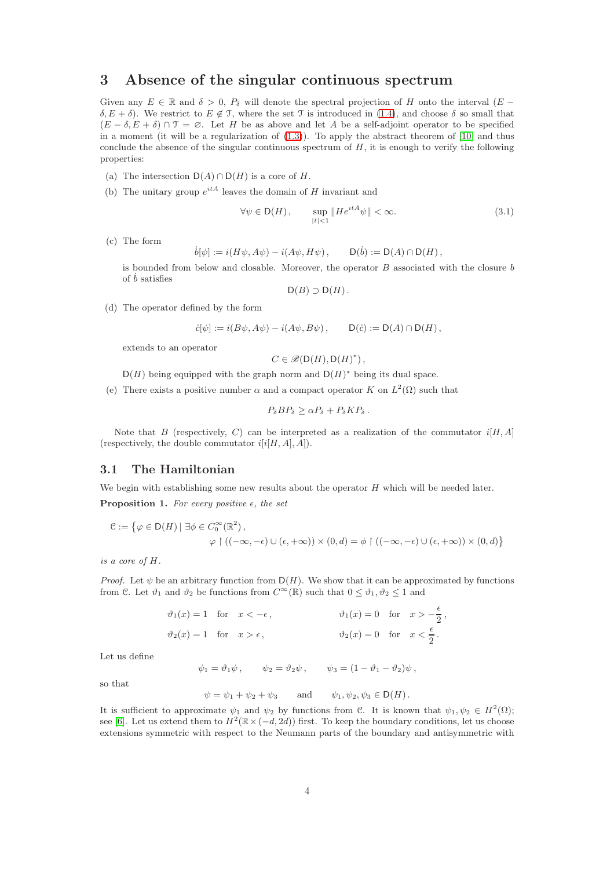# <span id="page-3-0"></span>3 Absence of the singular continuous spectrum

Given any  $E \in \mathbb{R}$  and  $\delta > 0$ ,  $P_{\delta}$  will denote the spectral projection of H onto the interval  $(E \delta, E + \delta$ ). We restrict to  $E \notin \mathcal{T}$ , where the set  $\mathcal{T}$  is introduced in [\(1.4\)](#page-1-5), and choose  $\delta$  so small that  $(E - \delta, E + \delta) \cap \mathcal{T} = \emptyset$ . Let H be as above and let A be a self-adjoint operator to be specified in a moment (it will be a regularization of [\(1.3\)](#page-1-2)). To apply the abstract theorem of [\[10\]](#page-10-6) and thus conclude the absence of the singular continuous spectrum of  $H$ , it is enough to verify the following properties:

- (a) The intersection  $D(A) \cap D(H)$  is a core of H.
- (b) The unitary group  $e^{itA}$  leaves the domain of H invariant and

<span id="page-3-1"></span>
$$
\forall \psi \in \mathsf{D}(H), \qquad \sup_{|t| < 1} \| He^{itA} \psi \| < \infty. \tag{3.1}
$$

(c) The form

$$
\dot{b}[\psi] := i(H\psi, A\psi) - i(A\psi, H\psi), \qquad \mathsf{D}(\dot{b}) := \mathsf{D}(A) \cap \mathsf{D}(H),
$$

is bounded from below and closable. Moreover, the operator  $B$  associated with the closure  $b$ of  $\dot{b}$  satisfies

 $D(B) \supset D(H)$ .

(d) The operator defined by the form

$$
\dot{c}[\psi] := i(B\psi, A\psi) - i(A\psi, B\psi), \qquad \mathsf{D}(\dot{c}) := \mathsf{D}(A) \cap \mathsf{D}(H),
$$

extends to an operator

$$
C \in \mathcal{B}(\mathsf{D}(H), \mathsf{D}(H)^*)
$$

 $D(H)$  being equipped with the graph norm and  $D(H)^*$  being its dual space.

(e) There exists a positive number  $\alpha$  and a compact operator K on  $L^2(\Omega)$  such that

$$
P_{\delta}BP_{\delta}\geq \alpha P_{\delta}+P_{\delta}KP_{\delta}.
$$

Note that B (respectively, C) can be interpreted as a realization of the commutator  $i[H, A]$ (respectively, the double commutator  $i[i[H, A], A]$ ).

## 3.1 The Hamiltonian

<span id="page-3-2"></span>We begin with establishing some new results about the operator  $H$  which will be needed later. **Proposition 1.** For every positive  $\epsilon$ , the set

$$
\mathcal{C} := \{ \varphi \in D(H) \mid \exists \phi \in C_0^{\infty}(\mathbb{R}^2), \\ \varphi \upharpoonright ((-\infty, -\epsilon) \cup (\epsilon, +\infty)) \times (0, d) = \phi \upharpoonright ((-\infty, -\epsilon) \cup (\epsilon, +\infty)) \times (0, d) \}
$$

is a core of H.

*Proof.* Let  $\psi$  be an arbitrary function from  $D(H)$ . We show that it can be approximated by functions from C. Let  $\vartheta_1$  and  $\vartheta_2$  be functions from  $C^{\infty}(\mathbb{R})$  such that  $0 \leq \vartheta_1, \vartheta_2 \leq 1$  and

| $\vartheta_1(x) = 1$ for $x < -\epsilon$ , |  | $\vartheta_1(x) = 0$ for $x > -\frac{\epsilon}{2}$ , |  |
|--------------------------------------------|--|------------------------------------------------------|--|
| $\vartheta_2(x) = 1$ for $x > \epsilon$ ,  |  | $\vartheta_2(x) = 0$ for $x < \frac{\epsilon}{2}$ .  |  |

Let us define

 $\psi_1 = \vartheta_1 \psi$ ,  $\psi_2 = \vartheta_2 \psi$ ,  $\psi_3 = (1 - \vartheta_1 - \vartheta_2) \psi$ ,

so that

$$
\psi = \psi_1 + \psi_2 + \psi_3
$$
 and  $\psi_1, \psi_2, \psi_3 \in D(H)$ .

It is sufficient to approximate  $\psi_1$  and  $\psi_2$  by functions from C. It is known that  $\psi_1, \psi_2 \in H^2(\Omega)$ ; see [\[6\]](#page-10-2). Let us extend them to  $H^2(\mathbb{R} \times (-d, 2d))$  first. To keep the boundary conditions, let us choose extensions symmetric with respect to the Neumann parts of the boundary and antisymmetric with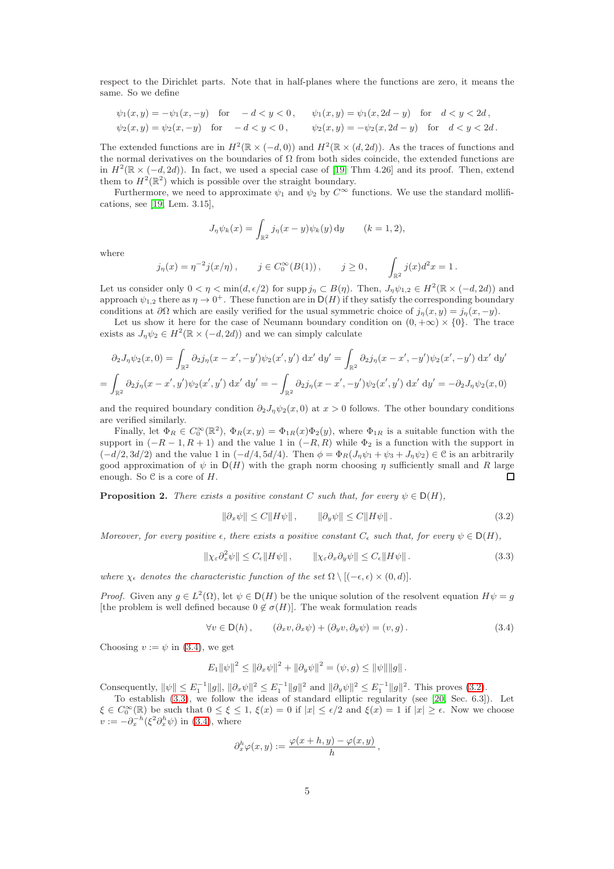respect to the Dirichlet parts. Note that in half-planes where the functions are zero, it means the same. So we define

$$
\psi_1(x, y) = -\psi_1(x, -y) \quad \text{for} \quad -d < y < 0, \qquad \psi_1(x, y) = \psi_1(x, 2d - y) \quad \text{for} \quad d < y < 2d,
$$
\n
$$
\psi_2(x, y) = \psi_2(x, -y) \quad \text{for} \quad -d < y < 0, \qquad \psi_2(x, y) = -\psi_2(x, 2d - y) \quad \text{for} \quad d < y < 2d.
$$

The extended functions are in  $H^2(\mathbb{R} \times (-d, 0))$  and  $H^2(\mathbb{R} \times (d, 2d))$ . As the traces of functions and the normal derivatives on the boundaries of  $\Omega$  from both sides coincide, the extended functions are in  $H^2(\mathbb{R} \times (-d, 2d))$ . In fact, we used a special case of [\[19,](#page-10-14) Thm 4.26] and its proof. Then, extend them to  $H^2(\mathbb{R}^2)$  which is possible over the straight boundary.

Furthermore, we need to approximate  $\psi_1$  and  $\psi_2$  by  $C^{\infty}$  functions. We use the standard mollifications, see [\[19,](#page-10-14) Lem. 3.15],

$$
J_{\eta}\psi_k(x) = \int_{\mathbb{R}^2} j_{\eta}(x-y)\psi_k(y) \,dy \qquad (k=1,2),
$$

where

$$
j_{\eta}(x) = \eta^{-2} j(x/\eta), \qquad j \in C_0^{\infty}(B(1)), \qquad j \ge 0, \qquad \int_{\mathbb{R}^2} j(x) d^2 x = 1.
$$

Let us consider only  $0 < \eta < \min(d, \epsilon/2)$  for supp  $j_{\eta} \subset B(\eta)$ . Then,  $J_{\eta} \psi_{1,2} \in H^2(\mathbb{R} \times (-d, 2d))$  and approach  $\psi_{1,2}$  there as  $\eta \to 0^+$ . These function are in  $D(H)$  if they satisfy the corresponding boundary conditions at  $\partial\Omega$  which are easily verified for the usual symmetric choice of  $j_n(x, y) = j_n(x, -y)$ .

Let us show it here for the case of Neumann boundary condition on  $(0, +\infty) \times \{0\}$ . The trace exists as  $J_{\eta}\psi_2 \in H^2(\mathbb{R} \times (-d, 2d))$  and we can simply calculate

$$
\partial_2 J_\eta \psi_2(x,0) = \int_{\mathbb{R}^2} \partial_2 j_\eta(x-x',-y') \psi_2(x',y') \,dx' \,dy' = \int_{\mathbb{R}^2} \partial_2 j_\eta(x-x',-y') \psi_2(x',-y') \,dx' \,dy' = \int_{\mathbb{R}^2} \partial_2 j_\eta(x-x',y') \psi_2(x',y') \,dx' \,dy' = -\int_{\mathbb{R}^2} \partial_2 j_\eta(x-x',-y') \psi_2(x',y') \,dx' \,dy' = -\partial_2 J_\eta \psi_2(x,0)
$$

and the required boundary condition  $\partial_2 J_\eta \psi_2(x, 0)$  at  $x > 0$  follows. The other boundary conditions are verified similarly.

Finally, let  $\Phi_R \in C_0^{\infty}(\mathbb{R}^2)$ ,  $\Phi_R(x,y) = \Phi_{1R}(x)\Phi_2(y)$ , where  $\Phi_{1R}$  is a suitable function with the support in  $(-R-1, R+1)$  and the value 1 in  $(-R, R)$  while  $\Phi_2$  is a function with the support in  $(-d/2, 3d/2)$  and the value 1 in  $(-d/4, 5d/4)$ . Then  $\phi = \Phi_R(J_\eta \psi_1 + \psi_3 + J_\eta \psi_2) \in \mathcal{C}$  is an arbitrarily good approximation of  $\psi$  in  $D(H)$  with the graph norm choosing  $\eta$  sufficiently small and R large enough. So  $C$  is a core of  $H$ .  $\Box$ 

<span id="page-4-0"></span>**Proposition 2.** There exists a positive constant C such that, for every  $\psi \in D(H)$ ,

<span id="page-4-2"></span>
$$
\|\partial_x \psi\| \le C\|H\psi\|, \qquad \|\partial_y \psi\| \le C\|H\psi\|.
$$
\n(3.2)

Moreover, for every positive  $\epsilon$ , there exists a positive constant  $C_{\epsilon}$  such that, for every  $\psi \in D(H)$ ,

<span id="page-4-3"></span>
$$
\|\chi_{\varepsilon}\partial_x^2\psi\| \le C_{\varepsilon} \|H\psi\|, \qquad \|\chi_{\varepsilon}\partial_x\partial_y\psi\| \le C_{\varepsilon} \|H\psi\|.
$$
 (3.3)

where  $\chi_{\epsilon}$  denotes the characteristic function of the set  $\Omega \setminus [(-\epsilon, \epsilon) \times (0, d)].$ 

*Proof.* Given any  $g \in L^2(\Omega)$ , let  $\psi \in D(H)$  be the unique solution of the resolvent equation  $H\psi = g$ [the problem is well defined because  $0 \notin \sigma(H)$ ]. The weak formulation reads

<span id="page-4-1"></span>
$$
\forall v \in \mathsf{D}(h), \qquad (\partial_x v, \partial_x \psi) + (\partial_y v, \partial_y \psi) = (v, g). \tag{3.4}
$$

Choosing  $v := \psi$  in [\(3.4\)](#page-4-1), we get

$$
E_1 \|\psi\|^2 \le \|\partial_x \psi\|^2 + \|\partial_y \psi\|^2 = (\psi, g) \le \|\psi\| \|g\|.
$$

Consequently,  $\|\psi\| \le E_1^{-1} \|g\|$ ,  $\|\partial_x \psi\|^2 \le E_1^{-1} \|g\|^2$  and  $\|\partial_y \psi\|^2 \le E_1^{-1} \|g\|^2$ . This proves [\(3.2\)](#page-4-2).

To establish [\(3.3\)](#page-4-3), we follow the ideas of standard elliptic regularity (see [\[20,](#page-10-15) Sec. 6.3]). Let  $\xi \in C_0^{\infty}(\mathbb{R})$  be such that  $0 \le \xi \le 1$ ,  $\xi(x) = 0$  if  $|x| \le \epsilon/2$  and  $\xi(x) = 1$  if  $|x| \ge \epsilon$ . Now we choose  $v := -\partial_x^{-h} (\xi^2 \partial_x^h \psi)$  in [\(3.4\)](#page-4-1), where

$$
\partial_x^h \varphi(x,y) := \frac{\varphi(x+h,y) - \varphi(x,y)}{h} \,,
$$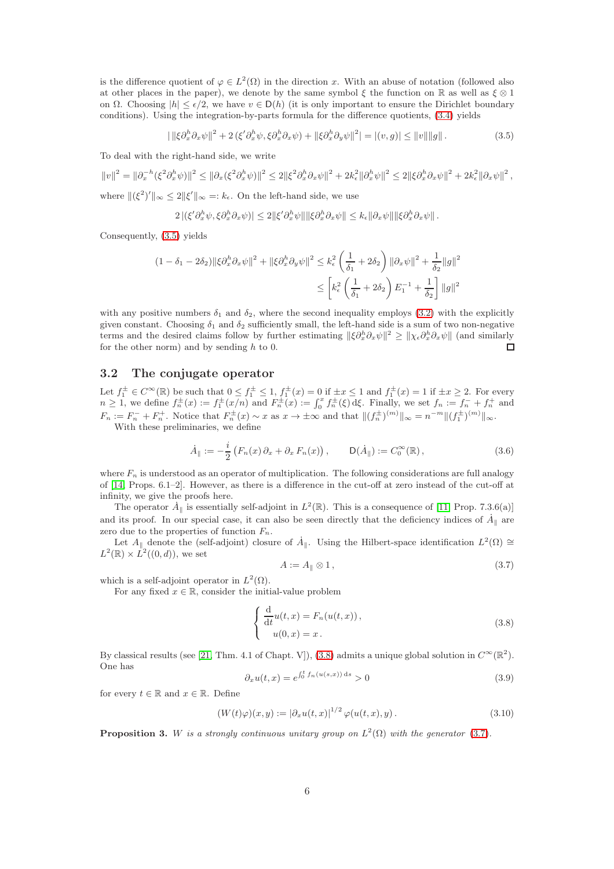is the difference quotient of  $\varphi \in L^2(\Omega)$  in the direction x. With an abuse of notation (followed also at other places in the paper), we denote by the same symbol  $\xi$  the function on R as well as  $\xi \otimes 1$ on  $\Omega$ . Choosing  $|h| \leq \epsilon/2$ , we have  $v \in D(h)$  (it is only important to ensure the Dirichlet boundary conditions). Using the integration-by-parts formula for the difference quotients, [\(3.4\)](#page-4-1) yields

<span id="page-5-0"></span>
$$
|\|\xi\partial_x^h\partial_x\psi\|^2 + 2(\xi'\partial_x^h\psi, \xi\partial_x^h\partial_x\psi) + \|\xi\partial_x^h\partial_y\psi\|^2| = |(v, g)| \le \|v\| \|g\|.
$$
 (3.5)

To deal with the right-hand side, we write

$$
||v||^2 = ||\partial_x^{-h}(\xi^2 \partial_x^h \psi)||^2 \le ||\partial_x(\xi^2 \partial_x^h \psi)||^2 \le 2||\xi^2 \partial_x^h \partial_x \psi||^2 + 2k_{\epsilon}^2 ||\partial_x^h \psi||^2 \le 2||\xi \partial_x^h \partial_x \psi||^2 + 2k_{\epsilon}^2 ||\partial_x \psi||^2,
$$
  
where  $||(\xi^2)'||_{\infty} \le 2||\xi'||_{\infty} =: k_{\epsilon}$ . On the left-hand side, we use

$$
2\left| \left( \xi' \partial_x^h \psi, \xi \partial_x^h \partial_x \psi \right) \right| \leq 2 \|\xi' \partial_x^h \psi\| \|\xi \partial_x^h \partial_x \psi\| \leq k_{\epsilon} \|\partial_x \psi\| \|\xi \partial_x^h \partial_x \psi\|.
$$

Consequently, [\(3.5\)](#page-5-0) yields

$$
(1 - \delta_1 - 2\delta_2) \|\xi \partial_x^h \partial_x \psi\|^2 + \|\xi \partial_x^h \partial_y \psi\|^2 \le k_\epsilon^2 \left(\frac{1}{\delta_1} + 2\delta_2\right) \|\partial_x \psi\|^2 + \frac{1}{\delta_2} \|g\|^2
$$
  

$$
\le \left[k_\epsilon^2 \left(\frac{1}{\delta_1} + 2\delta_2\right) E_1^{-1} + \frac{1}{\delta_2}\right] \|g\|^2
$$

with any positive numbers  $\delta_1$  and  $\delta_2$ , where the second inequality employs [\(3.2\)](#page-4-2) with the explicitly given constant. Choosing  $\delta_1$  and  $\delta_2$  sufficiently small, the left-hand side is a sum of two non-negative terms and the desired claims follow by further estimating  $\|\xi \partial_x^h \partial_x \psi\|^2 \geq \|\chi_{\epsilon} \partial_x^h \partial_x \psi\|$  (and similarly for the other norm) and by sending  $h$  to 0.  $\Box$ 

## 3.2 The conjugate operator

Let  $f_1^{\pm} \in C^{\infty}(\mathbb{R})$  be such that  $0 \leq f_1^{\pm} \leq 1$ ,  $f_1^{\pm}(x) = 0$  if  $\pm x \leq 1$  and  $f_1^{\pm}(x) = 1$  if  $\pm x \geq 2$ . For every  $n \geq 1$ , we define  $f_n^{\pm}(x) := f_1^{\pm}(x/n)$  and  $F_n^{\pm}(x) := \int_0^x f_n^{\pm}(\xi) d\xi$ . Finally, we set  $f_n := f_n^- + f_n^+$  and  $F_n := F_n^- + F_n^+$ . Notice that  $F_n^{\pm}(x) \sim x$  as  $x \to \pm \infty$  and that  $\|(f_n^{\pm})^{(m)}\|_{\infty} = n^{-m} \|(f_1^{\pm})^{(m)}\|_{\infty}$ .

With these preliminaries, we define

<span id="page-5-5"></span>
$$
\dot{A}_{\parallel} := -\frac{i}{2} \left( F_n(x) \partial_x + \partial_x F_n(x) \right), \qquad \mathsf{D}(\dot{A}_{\parallel}) := C_0^{\infty}(\mathbb{R}), \tag{3.6}
$$

where  $F_n$  is understood as an operator of multiplication. The following considerations are full analogy of [\[14,](#page-10-16) Props. 6.1–2]. However, as there is a difference in the cut-off at zero instead of the cut-off at infinity, we give the proofs here.

The operator  $\dot{A}_{\parallel}$  is essentially self-adjoint in  $L^2(\mathbb{R})$ . This is a consequence of [\[11,](#page-10-7) Prop. 7.3.6(a)] and its proof. In our special case, it can also be seen directly that the deficiency indices of  $\dot{A}_{\parallel}$  are zero due to the properties of function  $F_n$ .

Let  $A_{\parallel}$  denote the (self-adjoint) closure of  $A_{\parallel}$ . Using the Hilbert-space identification  $L^2(\Omega) \cong$  $L^2(\mathbb{R}) \times L^2((0,d))$ , we set

<span id="page-5-2"></span>
$$
A := A_{\parallel} \otimes 1, \tag{3.7}
$$

which is a self-adjoint operator in  $L^2(\Omega)$ .

For any fixed  $x \in \mathbb{R}$ , consider the initial-value problem

<span id="page-5-1"></span>
$$
\begin{cases}\n\frac{\mathrm{d}}{\mathrm{d}t}u(t,x) = F_n(u(t,x)), \\
u(0,x) = x.\n\end{cases}
$$
\n(3.8)

By classical results (see [\[21,](#page-10-17) Thm. 4.1 of Chapt. V]), [\(3.8\)](#page-5-1) admits a unique global solution in  $C^{\infty}(\mathbb{R}^2)$ . One has

<span id="page-5-3"></span>
$$
\partial_x u(t, x) = e^{\int_0^t f_n(u(s, x)) ds} > 0
$$
\n(3.9)

for every  $t \in \mathbb{R}$  and  $x \in \mathbb{R}$ . Define

<span id="page-5-4"></span>
$$
(W(t)\varphi)(x,y) := \left|\partial_x u(t,x)\right|^{1/2} \varphi(u(t,x),y). \tag{3.10}
$$

**Proposition 3.** W is a strongly continuous unitary group on  $L^2(\Omega)$  with the generator [\(3.7\)](#page-5-2).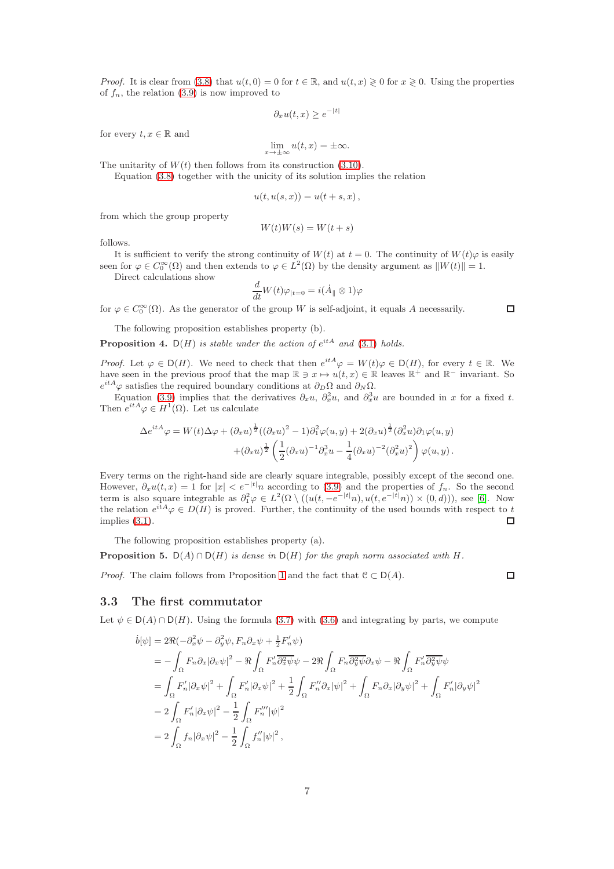*Proof.* It is clear from [\(3.8\)](#page-5-1) that  $u(t, 0) = 0$  for  $t \in \mathbb{R}$ , and  $u(t, x) \ge 0$  for  $x \ge 0$ . Using the properties of  $f_n$ , the relation [\(3.9\)](#page-5-3) is now improved to

$$
\partial_x u(t, x) \ge e^{-|t|}
$$

for every  $t, x \in \mathbb{R}$  and

$$
\lim_{x \to \pm \infty} u(t, x) = \pm \infty.
$$

The unitarity of  $W(t)$  then follows from its construction [\(3.10\)](#page-5-4).

Equation [\(3.8\)](#page-5-1) together with the unicity of its solution implies the relation

$$
u(t, u(s, x)) = u(t + s, x),
$$

from which the group property

$$
W(t)W(s) = W(t+s)
$$

follows.

It is sufficient to verify the strong continuity of  $W(t)$  at  $t = 0$ . The continuity of  $W(t)\varphi$  is easily seen for  $\varphi \in C_0^{\infty}(\Omega)$  and then extends to  $\varphi \in L^2(\Omega)$  by the density argument as  $||W(t)|| = 1$ .

Direct calculations show

$$
\frac{d}{dt}W(t)\varphi_{|t=0}=i(\dot{A}_{\parallel}\otimes 1)\varphi
$$

for  $\varphi \in C_0^{\infty}(\Omega)$ . As the generator of the group W is self-adjoint, it equals A necessarily.

The following proposition establishes property (b).

**Proposition 4.**  $D(H)$  is stable under the action of  $e^{itA}$  and [\(3.1\)](#page-3-1) holds.

*Proof.* Let  $\varphi \in D(H)$ . We need to check that then  $e^{itA}\varphi = W(t)\varphi \in D(H)$ , for every  $t \in \mathbb{R}$ . We have seen in the previous proof that the map  $\mathbb{R} \ni x \mapsto u(t, x) \in \mathbb{R}$  leaves  $\mathbb{R}^+$  and  $\mathbb{R}^-$  invariant. So  $e^{itA}\varphi$  satisfies the required boundary conditions at  $\partial_D\Omega$  and  $\partial_N\Omega$ .

Equation [\(3.9\)](#page-5-3) implies that the derivatives  $\partial_x u$ ,  $\partial_x^2 u$ , and  $\partial_x^3 u$  are bounded in x for a fixed t. Then  $e^{itA}\varphi \in H^1(\Omega)$ . Let us calculate

$$
\Delta e^{itA}\varphi = W(t)\Delta\varphi + (\partial_x u)^{\frac{1}{2}}((\partial_x u)^2 - 1)\partial_1^2\varphi(u, y) + 2(\partial_x u)^{\frac{1}{2}}(\partial_x^2 u)\partial_1\varphi(u, y) \n+ (\partial_x u)^{\frac{1}{2}}\left(\frac{1}{2}(\partial_x u)^{-1}\partial_x^3 u - \frac{1}{4}(\partial_x u)^{-2}(\partial_x^2 u)^2\right)\varphi(u, y).
$$

Every terms on the right-hand side are clearly square integrable, possibly except of the second one. However,  $\partial_x u(t, x) = 1$  for  $|x| < e^{-|t|}n$  according to [\(3.9\)](#page-5-3) and the properties of  $f_n$ . So the second term is also square integrable as  $\partial_1^2 \varphi \in L^2(\Omega \setminus ((u(t, -e^{-|t|}n), u(t, e^{-|t|}n)) \times (0, d)))$ , see [\[6\]](#page-10-2). Now the relation  $e^{itA}\varphi \in D(H)$  is proved. Further, the continuity of the used bounds with respect to t implies [\(3.1\)](#page-3-1).  $\Box$ 

The following proposition establishes property (a).

**Proposition 5.** D(A) ∩ D(H) is dense in D(H) for the graph norm associated with H.

*Proof.* The claim follows from Proposition [1](#page-3-2) and the fact that  $C \subset D(A)$ .

 $\Box$ 

### <span id="page-6-0"></span>3.3 The first commutator

Let  $\psi \in D(A) \cap D(H)$ . Using the formula [\(3.7\)](#page-5-2) with [\(3.6\)](#page-5-5) and integrating by parts, we compute

$$
\begin{split}\n\dot{b}[\psi] &= 2\Re(-\partial_x^2 \psi - \partial_y^2 \psi, F_n \partial_x \psi + \frac{1}{2} F'_n \psi) \\
&= -\int_{\Omega} F_n \partial_x |\partial_x \psi|^2 - \Re \int_{\Omega} F'_n \overline{\partial_x^2 \psi} \psi - 2\Re \int_{\Omega} F_n \overline{\partial_y^2 \psi} \partial_x \psi - \Re \int_{\Omega} F'_n \overline{\partial_y^2 \psi} \psi \\
&= \int_{\Omega} F'_n |\partial_x \psi|^2 + \int_{\Omega} F'_n |\partial_x \psi|^2 + \frac{1}{2} \int_{\Omega} F''_n \partial_x |\psi|^2 + \int_{\Omega} F_n \partial_x |\partial_y \psi|^2 + \int_{\Omega} F'_n |\partial_y \psi|^2 \\
&= 2 \int_{\Omega} F'_n |\partial_x \psi|^2 - \frac{1}{2} \int_{\Omega} F''_n |\psi|^2 \\
&= 2 \int_{\Omega} f_n |\partial_x \psi|^2 - \frac{1}{2} \int_{\Omega} f''_n |\psi|^2,\n\end{split}
$$

 $\Box$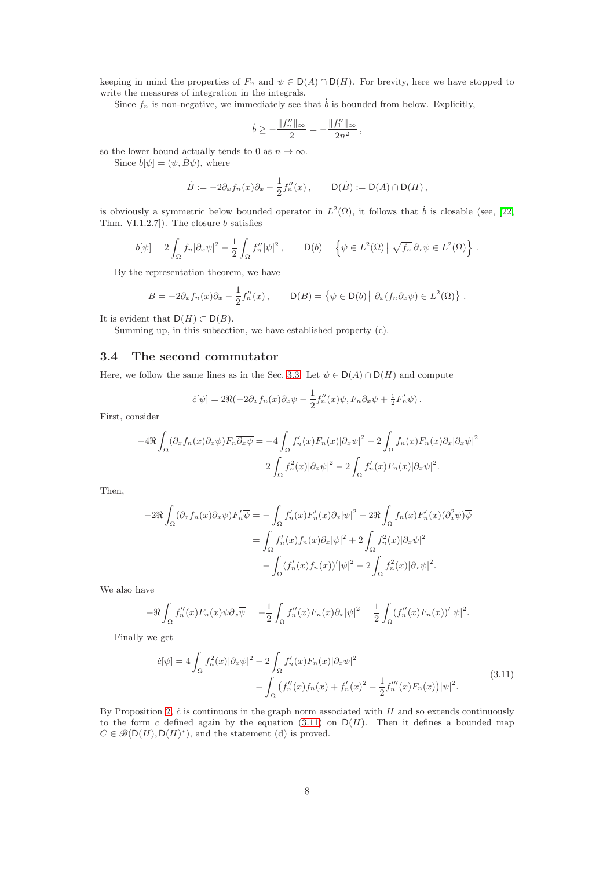keeping in mind the properties of  $F_n$  and  $\psi \in D(A) \cap D(H)$ . For brevity, here we have stopped to write the measures of integration in the integrals.

Since  $f_n$  is non-negative, we immediately see that  $\dot{b}$  is bounded from below. Explicitly,

$$
\dot{b} \ge -\frac{\|f_n''\|_{\infty}}{2} = -\frac{\|f_1''\|_{\infty}}{2n^2},
$$

so the lower bound actually tends to 0 as  $n \to \infty$ .

Since  $\dot{b}[\psi] = (\psi, \dot{B}\psi)$ , where

$$
\dot{B} := -2\partial_x f_n(x)\partial_x - \frac{1}{2}f''_n(x), \qquad \mathsf{D}(\dot{B}) := \mathsf{D}(A) \cap \mathsf{D}(H),
$$

is obviously a symmetric below bounded operator in  $L^2(\Omega)$ , it follows that  $\dot{b}$  is closable (see, [\[22,](#page-10-18) Thm. VI.1.2.7]). The closure b satisfies

$$
b[\psi] = 2 \int_{\Omega} f_n |\partial_x \psi|^2 - \frac{1}{2} \int_{\Omega} f_n'' |\psi|^2, \qquad \mathsf{D}(b) = \left\{ \psi \in L^2(\Omega) \mid \sqrt{f_n} \, \partial_x \psi \in L^2(\Omega) \right\}.
$$

By the representation theorem, we have

$$
B = -2\partial_x f_n(x)\partial_x - \frac{1}{2}f''_n(x), \qquad D(B) = \{ \psi \in D(b) \mid \partial_x (f_n \partial_x \psi) \in L^2(\Omega) \} .
$$

It is evident that  $D(H) \subset D(B)$ .

Summing up, in this subsection, we have established property (c).

## 3.4 The second commutator

Here, we follow the same lines as in the Sec. [3.3.](#page-6-0) Let  $\psi \in D(A) \cap D(H)$  and compute

$$
\dot{c}[\psi] = 2\Re(-2\partial_x f_n(x)\partial_x \psi - \frac{1}{2}f''_n(x)\psi, F_n \partial_x \psi + \frac{1}{2}F'_n \psi).
$$

First, consider

$$
-4\Re \int_{\Omega} (\partial_x f_n(x)\partial_x \psi) F_n \overline{\partial_x \psi} = -4 \int_{\Omega} f'_n(x) F_n(x) |\partial_x \psi|^2 - 2 \int_{\Omega} f_n(x) F_n(x) \partial_x |\partial_x \psi|^2
$$
  
= 
$$
2 \int_{\Omega} f_n^2(x) |\partial_x \psi|^2 - 2 \int_{\Omega} f'_n(x) F_n(x) |\partial_x \psi|^2.
$$

Then,

$$
-2\Re \int_{\Omega} (\partial_x f_n(x)\partial_x \psi) F'_n \overline{\psi} = -\int_{\Omega} f'_n(x) F'_n(x)\partial_x |\psi|^2 - 2\Re \int_{\Omega} f_n(x) F'_n(x) (\partial_x^2 \psi) \overline{\psi}
$$
  

$$
= \int_{\Omega} f'_n(x) f_n(x) \partial_x |\psi|^2 + 2 \int_{\Omega} f_n^2(x) |\partial_x \psi|^2
$$
  

$$
= -\int_{\Omega} (f'_n(x) f_n(x))' |\psi|^2 + 2 \int_{\Omega} f_n^2(x) |\partial_x \psi|^2.
$$

We also have

$$
-\Re \int_{\Omega} f''_n(x) F_n(x) \psi \partial_x \overline{\psi} = -\frac{1}{2} \int_{\Omega} f''_n(x) F_n(x) \partial_x |\psi|^2 = \frac{1}{2} \int_{\Omega} (f''_n(x) F_n(x))' |\psi|^2.
$$

Finally we get

<span id="page-7-0"></span>
$$
\dot{c}[\psi] = 4 \int_{\Omega} f_n^2(x) |\partial_x \psi|^2 - 2 \int_{\Omega} f_n'(x) F_n(x) |\partial_x \psi|^2 - \int_{\Omega} \left( f_n''(x) f_n(x) + f_n'(x)^2 - \frac{1}{2} f_n'''(x) F_n(x) \right) |\psi|^2.
$$
\n(3.11)

By Proposition [2,](#page-4-0)  $\dot{c}$  is continuous in the graph norm associated with H and so extends continuously to the form c defined again by the equation  $(3.11)$  on  $D(H)$ . Then it defines a bounded map  $C \in \mathcal{B}(D(H), D(H)^*)$ , and the statement (d) is proved.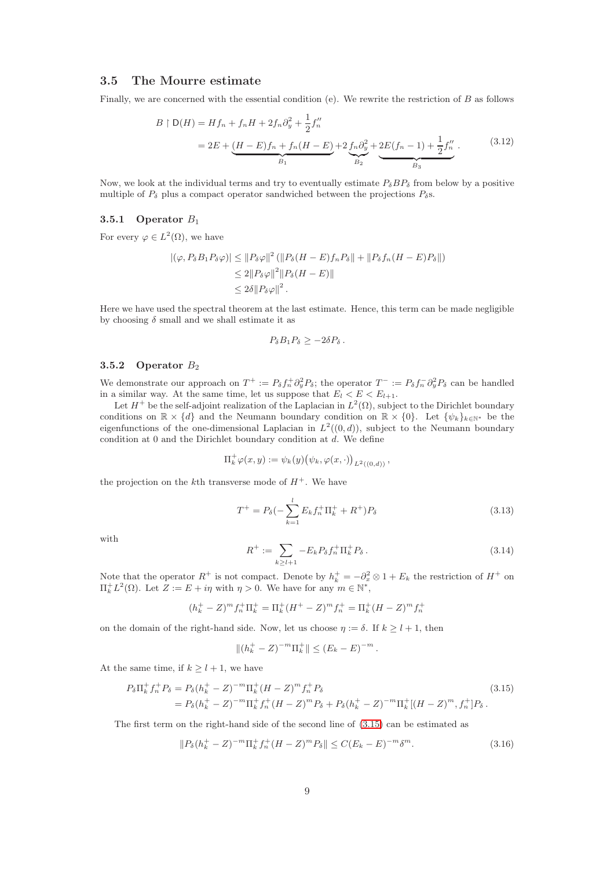#### 3.5 The Mourre estimate

Finally, we are concerned with the essential condition (e). We rewrite the restriction of B as follows

<span id="page-8-1"></span>
$$
B \upharpoonright D(H) = Hf_n + f_nH + 2f_n\partial_y^2 + \frac{1}{2}f''_n
$$
  
= 2E + (H - E)f\_n + f\_n(H - E) + 2f\_n\partial\_y^2 + 2E(f\_n - 1) + \frac{1}{2}f''\_n . (3.12)

Now, we look at the individual terms and try to eventually estimate  $P_{\delta}BP_{\delta}$  from below by a positive multiple of  $P_\delta$  plus a compact operator sandwiched between the projections  $P_\delta$ s.

## 3.5.1 Operator  $B_1$

For every  $\varphi \in L^2(\Omega)$ , we have

$$
\begin{aligned} |(\varphi, P_{\delta} B_1 P_{\delta} \varphi)| &\leq \|P_{\delta} \varphi\|^2 \left( \|P_{\delta} (H - E) f_n P_{\delta} \| + \|P_{\delta} f_n (H - E) P_{\delta} \|\right) \\ &\leq 2 \|P_{\delta} \varphi\|^2 \|P_{\delta} (H - E) \| \\ &\leq 2\delta \|P_{\delta} \varphi\|^2 \, .\end{aligned}
$$

Here we have used the spectral theorem at the last estimate. Hence, this term can be made negligible by choosing  $\delta$  small and we shall estimate it as

$$
P_{\delta}B_1P_{\delta}\geq-2\delta P_{\delta}.
$$

#### 3.5.2 Operator  $B_2$

We demonstrate our approach on  $T^+ := P_\delta f_n^+ \partial_y^2 P_\delta$ ; the operator  $T^- := P_\delta f_n^- \partial_y^2 P_\delta$  can be handled in a similar way. At the same time, let us suppose that  $E_l < E < E_{l+1}$ .

Let  $H^+$  be the self-adjoint realization of the Laplacian in  $L^2(\Omega)$ , subject to the Dirichlet boundary conditions on  $\mathbb{R} \times \{d\}$  and the Neumann boundary condition on  $\mathbb{R} \times \{0\}$ . Let  $\{\psi_k\}_{k \in \mathbb{N}^*}$  be the eigenfunctions of the one-dimensional Laplacian in  $L^2((0,d))$ , subject to the Neumann boundary condition at  $0$  and the Dirichlet boundary condition at  $d$ . We define

$$
\Pi^+_k \varphi(x,y) := \psi_k(y) \big( \psi_k, \varphi(x, \cdot) \big)_{L^2((0,d))},
$$

the projection on the k<sup>th</sup> transverse mode of  $H^+$ . We have

$$
T^{+} = P_{\delta}(-\sum_{k=1}^{l} E_{k} f_{n}^{+} \Pi_{k}^{+} + R^{+}) P_{\delta}
$$
\n(3.13)

with

$$
R^{+} := \sum_{k \ge l+1} -E_k P_{\delta} f_n^{+} \Pi_k^{+} P_{\delta} . \tag{3.14}
$$

Note that the operator  $R^+$  is not compact. Denote by  $h_k^+ = -\partial_x^2 \otimes 1 + E_k$  the restriction of  $H^+$  on  $\Pi_k^{\dagger} L^2(\Omega)$ . Let  $Z := E + i\eta$  with  $\eta > 0$ . We have for any  $m \in \mathbb{N}^*$ ,

$$
(h_k^+ - Z)^m f_n^+ \Pi_k^+ = \Pi_k^+ (H^+ - Z)^m f_n^+ = \Pi_k^+ (H - Z)^m f_n^+
$$

on the domain of the right-hand side. Now, let us choose  $\eta := \delta$ . If  $k > l + 1$ , then

<span id="page-8-0"></span>
$$
||(h_k^+ - Z)^{-m} \Pi_k^+|| \leq (E_k - E)^{-m}.
$$

At the same time, if  $k \geq l + 1$ , we have

$$
P_{\delta}\Pi_{k}^{+}f_{n}^{+}P_{\delta} = P_{\delta}(h_{k}^{+} - Z)^{-m}\Pi_{k}^{+}(H - Z)^{m}f_{n}^{+}P_{\delta}
$$
\n
$$
= P_{\delta}(h_{k}^{+} - Z)^{-m}\Pi_{k}^{+}f_{n}^{+}(H - Z)^{m}P_{\delta} + P_{\delta}(h_{k}^{+} - Z)^{-m}\Pi_{k}^{+}[(H - Z)^{m}, f_{n}^{+}]P_{\delta}.
$$
\n(3.15)

The first term on the right-hand side of the second line of [\(3.15\)](#page-8-0) can be estimated as

$$
||P_{\delta}(h_k^+ - Z)^{-m} \Pi_k^+ f_n^+ (H - Z)^m P_{\delta}|| \le C (E_k - E)^{-m} \delta^m.
$$
\n(3.16)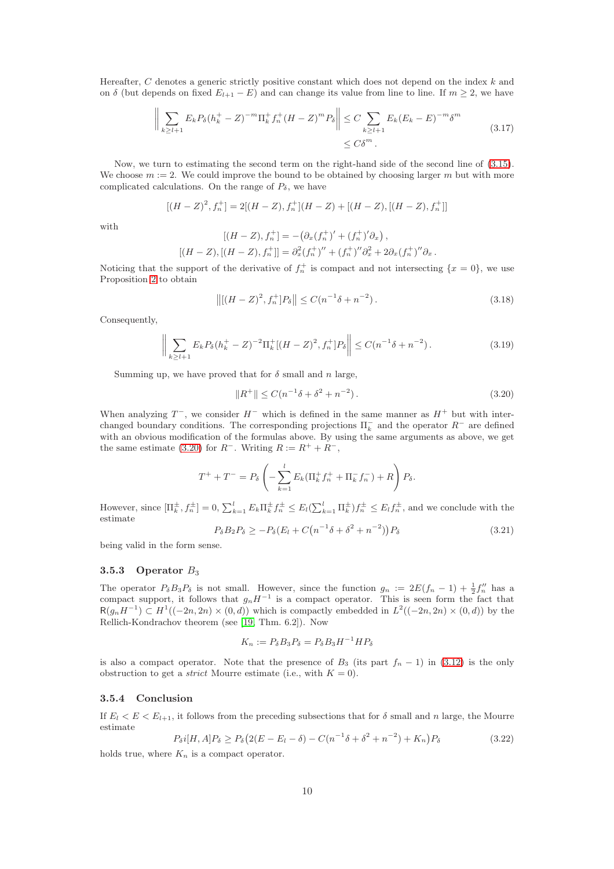Hereafter, C denotes a generic strictly positive constant which does not depend on the index  $k$  and on  $\delta$  (but depends on fixed  $E_{l+1} - E$ ) and can change its value from line to line. If  $m \geq 2$ , we have

$$
\left\| \sum_{k \ge l+1} E_k P_\delta (h_k^+ - Z)^{-m} \Pi_k^+ f_n^+ (H - Z)^m P_\delta \right\| \le C \sum_{k \ge l+1} E_k (E_k - E)^{-m} \delta^m
$$
\n
$$
\le C \delta^m . \tag{3.17}
$$

Now, we turn to estimating the second term on the right-hand side of the second line of [\(3.15\)](#page-8-0). We choose  $m := 2$ . We could improve the bound to be obtained by choosing larger m but with more complicated calculations. On the range of  $P_\delta$ , we have

$$
[(H-Z)^{2}, f_{n}^{+}] = 2[(H-Z), f_{n}^{+}](H-Z) + [(H-Z), [(H-Z), f_{n}^{+}]]
$$

with

$$
[(H - Z), f_n^+] = -(\partial_x (f_n^+) ' + (f_n^+) ' \partial_x),
$$
  

$$
[(H - Z), [(H - Z), f_n^+] = \partial_x^2 (f_n^+) '' + (f_n^+) '' \partial_x^2 + 2 \partial_x (f_n^+) '' \partial_x.
$$

Noticing that the support of the derivative of  $f_n^+$  is compact and not intersecting  $\{x=0\}$ , we use Proposition [2](#page-4-0) to obtain

$$
\left\| \left[ (H - Z)^2, f_n^+ \right] P_\delta \right\| \le C(n^{-1}\delta + n^{-2}).\tag{3.18}
$$

Consequently,

$$
\left\| \sum_{k \ge l+1} E_k P_\delta (h_k^+ - Z)^{-2} \Pi_k^+ [(H - Z)^2, f_n^+] P_\delta \right\| \le C(n^{-1} \delta + n^{-2}). \tag{3.19}
$$

Summing up, we have proved that for  $\delta$  small and n large.

<span id="page-9-0"></span>
$$
||R^+|| \leq C(n^{-1}\delta + \delta^2 + n^{-2}).
$$
\n(3.20)

When analyzing  $T^-$ , we consider  $H^-$  which is defined in the same manner as  $H^+$  but with interchanged boundary conditions. The corresponding projections  $\Pi_k^-$  and the operator  $R^-$  are defined with an obvious modification of the formulas above. By using the same arguments as above, we get the same estimate [\(3.20\)](#page-9-0) for  $R^-$ . Writing  $R := R^+ + R^-$ ,

$$
T^{+} + T^{-} = P_{\delta} \left( - \sum_{k=1}^{l} E_{k} (\Pi_{k}^{+} f_{n}^{+} + \Pi_{k}^{-} f_{n}^{-}) + R \right) P_{\delta}.
$$

However, since  $[\Pi_k^{\pm}, f_n^{\pm}] = 0$ ,  $\sum_{k=1}^l E_k \Pi_k^{\pm} f_n^{\pm} \leq E_l(\sum_{k=1}^l \Pi_k^{\pm}) f_n^{\pm} \leq E_l f_n^{\pm}$ , and we conclude with the estimate

$$
P_{\delta}B_2P_{\delta} \ge -P_{\delta}(E_l + C(n^{-1}\delta + \delta^2 + n^{-2}))P_{\delta}
$$
\n(3.21)

being valid in the form sense.

## 3.5.3 Operator  $B_3$

The operator  $P_{\delta}B_3P_{\delta}$  is not small. However, since the function  $g_n := 2E(f_n - 1) + \frac{1}{2}f''_n$  has a compact support, it follows that  $g_nH^{-1}$  is a compact operator. This is seen form the fact that  $R(g_nH^{-1}) \subset H^1((-2n,2n) \times (0,d))$  which is compactly embedded in  $L^2((-2n,2n) \times (0,d))$  by the Rellich-Kondrachov theorem (see [\[19,](#page-10-14) Thm. 6.2]). Now

$$
K_n := P_{\delta} B_3 P_{\delta} = P_{\delta} B_3 H^{-1} H P_{\delta}
$$

is also a compact operator. Note that the presence of  $B_3$  (its part  $f_n - 1$ ) in [\(3.12\)](#page-8-1) is the only obstruction to get a *strict* Mourre estimate (i.e., with  $K = 0$ ).

#### 3.5.4 Conclusion

If  $E_l < E < E_{l+1}$ , it follows from the preceding subsections that for  $\delta$  small and n large, the Mourre estimate

$$
P_{\delta}i[H, A]P_{\delta} \ge P_{\delta}(2(E - E_l - \delta) - C(n^{-1}\delta + \delta^2 + n^{-2}) + K_n)P_{\delta}
$$
\n(3.22)

holds true, where  $K_n$  is a compact operator.